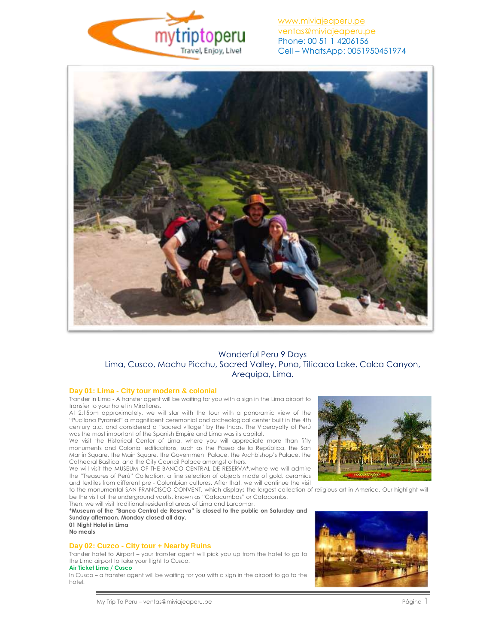

[www.miviajeaperu.pe](http://www.miviajeaperu.pe/) [ventas@miviajeaperu.pe](mailto:ventas@miviajeaperu.pe) Phone: 00 51 1 4206156 Cell – WhatsApp: 0051950451974



# Wonderful Peru 9 Days Lima, Cusco, Machu Picchu, Sacred Valley, Puno, Titicaca Lake, Colca Canyon, Arequipa, Lima.

## **Day 01: Lima - City tour modern & colonial**

Transfer in Lima - A transfer agent will be waiting for you with a sign in the Lima airport to transfer to your hotel in Miraflores.

At 2:15pm approximately, we will star with the tour with a panoramic view of the "Pucllana Pyramid" a magnificent ceremonial and archeological center built in the 4th century a.d. and considered a "sacred village" by the Incas. The Viceroyalty of Perú was the most important of the Spanish Empire and Lima was its capital.

We visit the Historical Center of Lima, where you will appreciate more than fifty monuments and Colonial edifications, such as the Paseo de la República, the San Martín Square, the Main Square, the Government Palace, the Archbishop's Palace, the Cathedral Basilica, and the City Council Palace amongst others.

We will visit the MUSEUM OF THE BANCO CENTRAL DE RESERVA**\***,where we will admire the "Treasures of Perú" Collection, a fine selection of objects made of gold, ceramics and textiles from different pre - Columbian cultures. After that, we will continue the visit

to the monumental SAN FRANCISCO CONVENT, which displays the largest collection of religious art in America. Our highlight will be the visit of the underground vaults, known as "Catacumbas" or Catacombs.

Then, we will visit traditional residential areas of Lima and Larcomar. **\*Museum of the "Banco Central de Reserva" is closed to the public on Saturday and** 

**Sunday afternoon. Monday closed all day. 01 Night Hotel in Lima No meals**

# **Day 02: Cuzco - City tour + Nearby Ruins**

Transfer hotel to Airport – your transfer agent will pick you up from the hotel to go to the Lima airport to take your flight to Cusco.

## **Air Ticket Lima / Cusco**

In Cusco – a transfer agent will be waiting for you with a sign in the airport to go to the hotel.



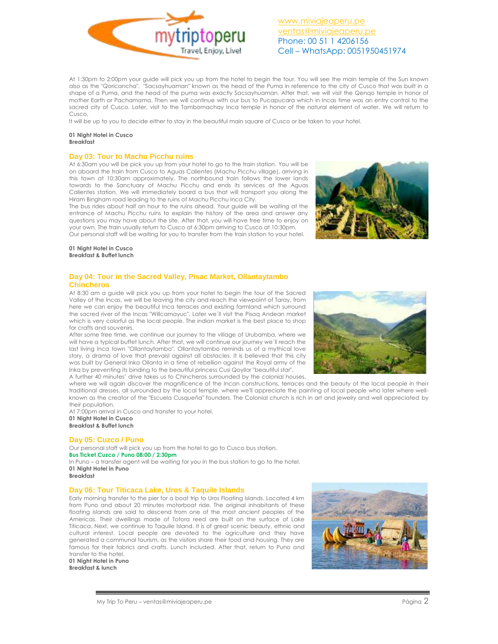At 1:30pm to 2:00pm your guide will pick you up from the hotel to begin the tour. You will see the main temple of the Sun known also as the "Qoricancha". "Sacsayhuaman" known as the head of the Puma in reference to the city of Cusco that was built in a shape of a Puma, and the head of the puma was exactly Sacsayhuaman. After that, we will visit the Qenqo temple in honor of mother Earth or Pachamama. Then we will continue with our bus to Pucapucara which in Incas time was an entry control to the sacred city of Cusco. Later, visit to the Tambomachay Inca temple in honor of the natural element of water. We will return to Cusco.

It will be up to you to decide either to stay in the beautiful main square of Cusco or be taken to your hotel.

#### **01 Night Hotel in Cusco Breakfast**

## **Day 03: Tour to Machu Picchu ruins**

At 6:30am you will be pick you up from your hotel to go to the train station. You will be on aboard the train from Cusco to Aguas Calientes (Machu Picchu village), arriving in this town at 10:30am approximately. The northbound train follows the lower lands towards to the Sanctuary of Machu Picchu and ends its services at the Aguas Calientes station. We will immediately board a bus that will transport you along the Hiram Bingham road leading to the ruins of Machu Picchu Inca City.

The bus rides about half an hour to the ruins ahead. Your guide will be waiting at the entrance of Machu Picchu ruins to explain the history of the area and answer any questions you may have about the site. After that, you will have free time to enjoy on your own. The train usually return to Cusco at 6:30pm arriving to Cusco at 10:30pm. Our personal staff will be waiting for you to transfer from the train station to your hotel.

### **01 Night Hotel in Cusco Breakfast & Buffet lunch**

## **Day 04: Tour in the Sacred Valley, Pisac Market, Ollantaytambo Chincheros**

At 8:30 am a guide will pick you up from your hotel to begin the tour of the Sacred Valley of the Incas, we will be leaving the city and reach the viewpoint of Taray, from here we can enjoy the beautiful Inca terraces and existing farmland which surround the sacred river of the Incas "Willcamayuc". Later we´ll visit the Pisaq Andean market which is very colorful as the local people. The indian market is the best place to shop for crafts and souvenirs. After some free time, we continue our journey to the village of Urubamba, where we

will have a typical buffet lunch. After that, we will continue our journey we´ll reach the last living Inca town "Ollantaytambo". Ollantaytambo reminds us of a mythical love story, a drama of love that prevaisl against all obstacles. It is believed that this city was built by General Inka Ollanta in a time of rebellion against the Royal army of the Inka by preventing its binding to the beautiful princess Cusi Qoyllor "beautiful star". A further 40 minutes' drive takes us to Chincheros surrounded by the colonial houses,

where we will again discover the magnificence of the Incan constructions, terraces and the beauty of the local people in their traditional dresses, all surrounded by the local temple, where we'll appreciate the painting of local people who later where wellknown as the creator of the "Escuela Cusqueña" founders. The Colonial church is rich in art and jewelry and well appreciated by their population.

At 7:00pm arrival in Cusco and transfer to your hotel. **01 Night Hotel in Cusco Breakfast & Buffet lunch**

## **Day 05: Cuzco / Puno**

Our personal staff will pick you up from the hotel to go to Cusco bus station. **Bus Ticket Cuzco / Puno 08:00 / 2:30pm**

In Puno – a transfer agent will be waiting for you in the bus station to go to the hotel. **01 Night Hotel in Puno**

**Breakfast**

## **Day 06: Tour Titicaca Lake, Uros & Taquile Islands**

Early morning transfer to the pier for a boat trip to Uros Floating Islands. Located 4 km from Puno and about 20 minutes motorboat ride. The original inhabitants of these floating islands are said to descend from one of the most ancient peoples of the Americas. Their dwellings made of Totora reed are built on the surface of Lake Titicaca. Next, we continue to Taquile Island. It is of great scenic beauty, ethnic and cultural interest. Local people are devoted to the agriculture and they have generated a communal tourism, as the visitors share their food and housing. They are famous for their fabrics and crafts. Lunch included. After that, return to Puno and transfer to the hotel.

**01 Night Hotel in Puno Breakfast & lunch**









[www.miviajeaperu.pe](http://www.miviajeaperu.pe/) [ventas@miviajeaperu.pe](mailto:ventas@miviajeaperu.pe) Phone: 00 51 1 4206156 Cell – WhatsApp: 0051950451974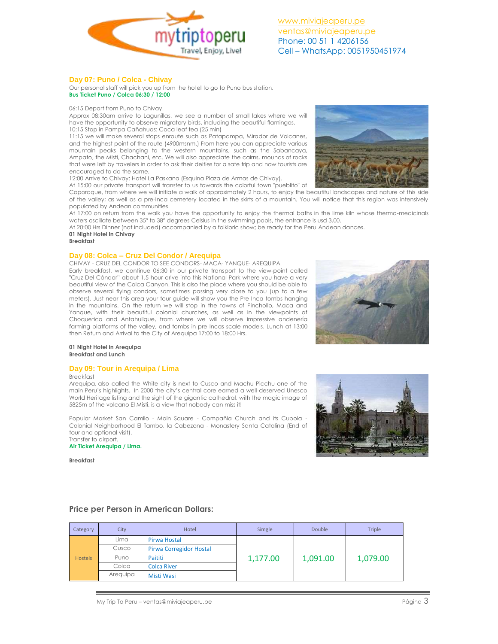

[www.miviajeaperu.pe](http://www.miviajeaperu.pe/) [ventas@miviajeaperu.pe](mailto:ventas@miviajeaperu.pe) Phone: 00 51 1 4206156 Cell – WhatsApp: 0051950451974

## **Day 07: Puno / Colca - Chivay**

Our personal staff will pick you up from the hotel to go to Puno bus station. **Bus Ticket Puno / Colca 06:30 / 12:00**

06:15 Depart from Puno to Chivay.

Approx 08:30am arrive to Lagunillas, we see a number of small lakes where we will have the opportunity to observe migratory birds, including the beautiful flamingos. 10:15 Stop in Pampa Cañahuas: Coca leaf tea (25 min)

11:15 we will make several stops enroute such as Patapampa, Mirador de Volcanes, and the highest point of the route (4900msnm.) From here you can appreciate various mountain peaks belonging to the western mountains, such as the Sabancaya, Ampato, the Misti, Chachani, etc. We will also appreciate the cairns, mounds of rocks that were left by travelers in order to ask their deities for a safe trip and now tourists are encouraged to do the same.

12:00 Arrive to Chivay: Hotel La Paskana (Esquina Plaza de Armas de Chivay). At 15:00 our private transport will transfer to us towards the colorful town "pueblito" of



Coporaque, from where we will initiate a walk of approximately 2 hours, to enjoy the beautiful landscapes and nature of this side of the valley; as well as a pre-Inca cemetery located in the skirts of a mountain. You will notice that this region was intensively populated by Andean communities.

At 17:00 on return from the walk you have the opportunity to enjoy the thermal baths in the lime kiln whose thermo-medicinals waters oscillate between 35º to 38º degrees Celsius in the swimming pools, the entrance is usd 3.00.

At 20:00 Hrs Dinner (not included) accompanied by a folkloric show; be ready for the Peru Andean dances.

**01 Night Hotel in Chivay**

#### **Breakfast**

## **Day 08: Colca – Cruz Del Condor / Arequipa**

CHIVAY - CRUZ DEL CONDOR TO SEE CONDORS- MACA- YANQUE- AREQUIPA Early breakfast, we continue 06:30 in our private transport to the view-point called "Cruz Del Cóndor" about 1.5 hour drive into this National Park where you have a very beautiful view of the Colca Canyon. This is also the place where you should be able to observe several flying condors, sometimes passing very close to you (up to a few meters). Just near this area your tour guide will show you the Pre-Inca tombs hanging in the mountains. On the return we will stop in the towns of Pinchollo, Maca and Yanque, with their beautiful colonial churches, as well as in the viewpoints of Choquetico and Antahuilque, from where we will observe impressive andenería farming platforms of the valley, and tombs in pre-Incas scale models. Lunch at 13:00 then Return and Arrival to the City of Arequipa 17:00 to 18:00 Hrs.



#### **01 Night Hotel in Arequipa Breakfast and Lunch**

## **Day 09: Tour in Arequipa / Lima**

Breakfast

Arequipa, also called the White city is next to Cusco and Machu Picchu one of the main Peru's highlights. In 2000 the city's central core earned a well-deserved Unesco World Heritage listing and the sight of the gigantic cathedral, with the magic image of 5825m of the volcano El Misti, is a view that nobody can miss it!

Popular Market San Camilo - Main Square - Compañia Church and its Cupola - Colonial Neighborhood El Tambo, la Cabezona - Monastery Santa Catalina (End of tour and optional visit). Transfer to airport.

**Air Ticket Arequipa / Lima.**

**Breakfast**



## **Price per Person in American Dollars:**

| Category       | City     | Hotel                          | Simgle   | <b>Double</b> | Triple   |
|----------------|----------|--------------------------------|----------|---------------|----------|
| <b>Hostels</b> | Lima     | Pirwa Hostal                   | 1,177.00 | 1,091.00      | 1,079.00 |
|                | Cusco    | <b>Pirwa Corregidor Hostal</b> |          |               |          |
|                | Puno     | Paititi                        |          |               |          |
|                | Colca    | <b>Colca River</b>             |          |               |          |
|                | Arequipa | Misti Wasi                     |          |               |          |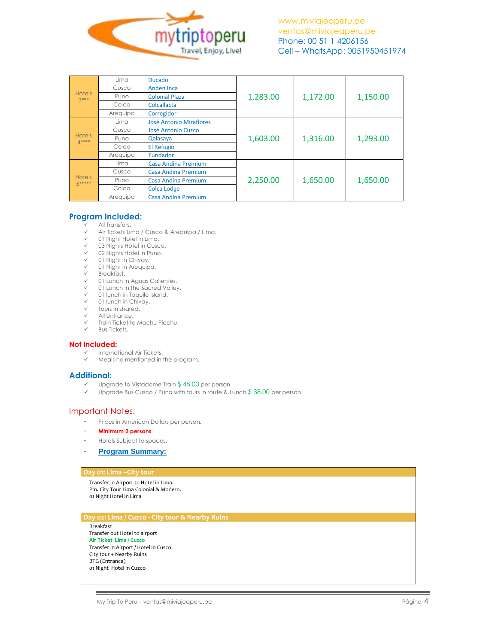

| <b>Hotels</b><br>$3***$ | Lima     | <b>Ducado</b>                  | 1,283.00 | 1,172.00 | 1,150.00 |
|-------------------------|----------|--------------------------------|----------|----------|----------|
|                         | Cusco    | Anden Inca                     |          |          |          |
|                         | Puno     | <b>Colonial Plaza</b>          |          |          |          |
|                         | Colca    | Colcallacta                    |          |          |          |
|                         | Arequipa | Corregidor                     |          |          |          |
| <b>Hotels</b><br>$4***$ | Lima     | <b>José Antonio Miraflores</b> | 1,603.00 | 1,316.00 | 1,293.00 |
|                         | Cusco    | José Antonio Cuzco             |          |          |          |
|                         | Puno     | Qalasaya                       |          |          |          |
|                         | Colca    | El Refugio                     |          |          |          |
|                         | Arequipa | Fundador                       |          |          |          |
| <b>Hotels</b><br>5***** | Lima     | <b>Casa Andina Premium</b>     | 2,250.00 | 1,650.00 | 1,650.00 |
|                         | Cusco    | <b>Casa Andina Premium</b>     |          |          |          |
|                         | Puno     | Casa Andina Premium            |          |          |          |
|                         | Colca    | <b>Colca Lodge</b>             |          |          |          |
|                         | Arequipa | <b>Casa Andina Premium</b>     |          |          |          |

# **Program Included:**

# V All Transfers.<br>V Air Tiekete Lin

- Air Tickets Lima / Cusco & Arequipa / Lima.
- 01 Night Hotel in Lima.
- 03 Nights Hotel in Cusco.
- 02 Nights Hotel in Puno.
- 01 Night in Chivay.
- 01 Night in Arequipa.
- $\checkmark$  Breakfast.
- 01 Lunch in Aguas Calientes.
- $\checkmark$  01 Lunch in the Sacred Valley.
- $\checkmark$  01 lunch in Taquile Island.<br> $\checkmark$  01 lunch in Chivay. 01 lunch in Chivay.
- 
- $\checkmark$  Tours in shared. All entrance.
- 
- Train Ticket to Machu Picchu. Bus Tickets.
- 

## **Not Included:**

- $\checkmark$  International Air Tickets.<br> $\checkmark$  Meals no mentioned in 1
- Meals no mentioned in the program.

## **Additional:**

- Upgrade to Vistadome Train \$ 48.00 per person.
- $\checkmark$  Upgrade Bus Cusco / Puno with tours in route & Lunch \$38.00 per person.

# Important Notes:

- Prices in American Dollars per person.
- **Minimum 2 persons**.
- Hotels Subject to spaces.
- **Program Summary:**

## **Day 01: Lima –City tour**

Transfer in Airport to Hotel in Lima. Pm. City Tour Lima Colonial & Modern. 01 Night Hotel in Lima

### **Day 02: Lima / Cuzco - City tour & Nearby Ruins**

Breakfast Transfer out Hotel to airport **Air Ticket Lima / Cuzco** Transfer in Airport / Hotel in Cusco. City tour + Nearby Ruins BTG (Entrance) 01 Night Hotel in Cuzco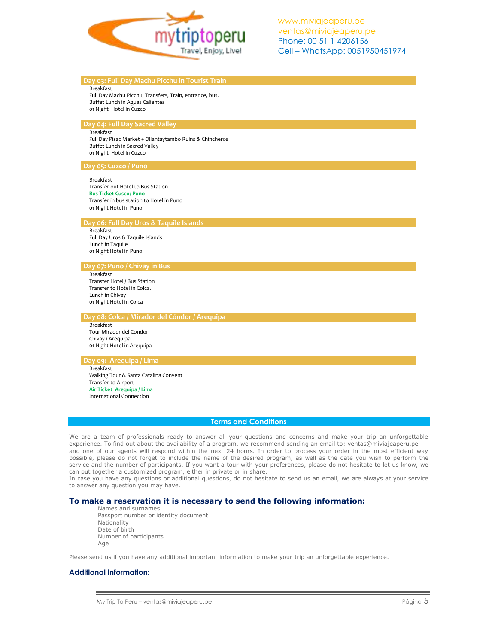

| Day 03: Full Day Machu Picchu in Tourist Train           |
|----------------------------------------------------------|
| <b>Breakfast</b>                                         |
| Full Day Machu Picchu, Transfers, Train, entrance, bus.  |
| Buffet Lunch in Aguas Calientes                          |
| 01 Night Hotel in Cuzco                                  |
|                                                          |
|                                                          |
| Day 04: Full Day Sacred Valley                           |
| <b>Breakfast</b>                                         |
| Full Day Pisac Market + Ollantaytambo Ruins & Chincheros |
| Buffet Lunch in Sacred Valley                            |
| 01 Night Hotel in Cuzco                                  |
|                                                          |
| Day 05: Cuzco / Puno                                     |
|                                                          |
| <b>Breakfast</b>                                         |
| Transfer out Hotel to Bus Station                        |
| <b>Bus Ticket Cusco/ Puno</b>                            |
| Transfer in bus station to Hotel in Puno                 |
|                                                          |
| 01 Night Hotel in Puno                                   |
|                                                          |
| Day 06: Full Day Uros & Taquile Islands                  |
| Breakfast                                                |
| Full Day Uros & Taquile Islands                          |
| Lunch in Taquile                                         |
| 01 Night Hotel in Puno                                   |
|                                                          |
| Day 07: Puno / Chivay in Bus                             |
| Breakfast                                                |
| Transfer Hotel / Bus Station                             |
| Transfer to Hotel in Colca.                              |
| Lunch in Chivay                                          |
|                                                          |
| 01 Night Hotel in Colca                                  |
|                                                          |
| Day 08: Colca / Mirador del Cóndor / Arequipa            |
| <b>Breakfast</b>                                         |
| Tour Mirador del Condor                                  |
| Chivay / Arequipa                                        |
| 01 Night Hotel in Arequipa                               |
|                                                          |
| Day 09: Arequipa / Lima                                  |
| <b>Breakfast</b>                                         |
| Walking Tour & Santa Catalina Convent                    |
| Transfer to Airport                                      |
| Air Ticket Arequipa / Lima                               |
|                                                          |
| International Connection                                 |

## **Terms and Conditions**

We are a team of professionals ready to answer all your questions and concerns and make your trip an unforgettable experience. To find out about the availability of a program, we recommend sending an email to: [ventas@miviajeaperu.pe](mailto:ventas@miviajeaperu.pe) and one of our agents will respond within the next 24 hours. In order to process your order in the most efficient way possible, please do not forget to include the name of the desired program, as well as the date you wish to perform the service and the number of participants. If you want a tour with your preferences, please do not hesitate to let us know, we can put together a customized program, either in private or in share.

In case you have any questions or additional questions, do not hesitate to send us an email, we are always at your service to answer any question you may have.

## **To make a reservation it is necessary to send the following information:**

Names and surnames Passport number or identity document Nationality Date of birth Number of participants Age

Please send us if you have any additional important information to make your trip an unforgettable experience.

## **Additional information:**

My Trip To Peru – ventas@miviajeaperu.pe Página 5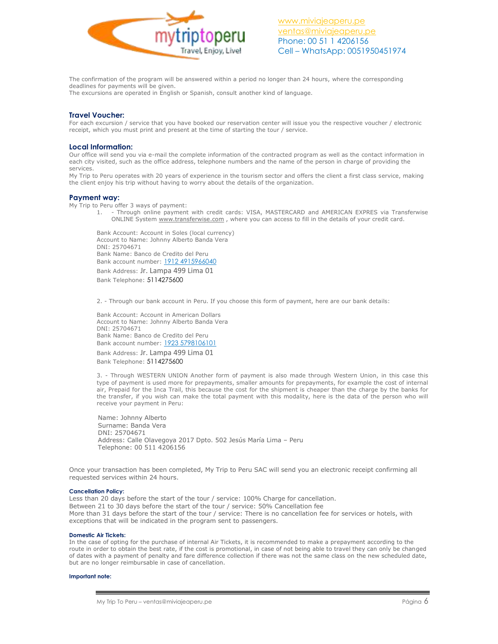

The confirmation of the program will be answered within a period no longer than 24 hours, where the corresponding deadlines for payments will be given.

The excursions are operated in English or Spanish, consult another kind of language.

## **Travel Voucher:**

For each excursion / service that you have booked our reservation center will issue you the respective voucher / electronic receipt, which you must print and present at the time of starting the tour / service.

## **Local Information:**

Our office will send you via e-mail the complete information of the contracted program as well as the contact information in each city visited, such as the office address, telephone numbers and the name of the person in charge of providing the services.

My Trip to Peru operates with 20 years of experience in the tourism sector and offers the client a first class service, making the client enjoy his trip without having to worry about the details of the organization.

## **Payment way:**

My Trip to Peru offer 3 ways of payment:

1. - Through online payment with credit cards: VISA, MASTERCARD and AMERICAN EXPRES via Transferwise ONLINE System [www.transferwise.com](http://www.transferwise.com/) , where you can access to fill in the details of your credit card.

Bank Account: Account in Soles (local currency) Account to Name: Johnny Alberto Banda Vera DNI: 25704671 Bank Name: Banco de Credito del Peru Bank account number: 1912 4915966040 Bank Address: Jr. Lampa 499 Lima 01 Bank Telephone: 5114275600

2. - Through our bank account in Peru. If you choose this form of payment, here are our bank details:

Bank Account: Account in American Dollars Account to Name: Johnny Alberto Banda Vera DNI: 25704671 Bank Name: Banco de Credito del Peru Bank account number: 1923 5798106101 Bank Address: Jr. Lampa 499 Lima 01

Bank Telephone: 5114275600

3. - Through WESTERN UNION Another form of payment is also made through Western Union, in this case this type of payment is used more for prepayments, smaller amounts for prepayments, for example the cost of internal air, Prepaid for the Inca Trail, this because the cost for the shipment is cheaper than the charge by the banks for the transfer, if you wish can make the total payment with this modality, here is the data of the person who will receive your payment in Peru:

 Name: Johnny Alberto Surname: Banda Vera DNI: 25704671 Address: Calle Olavegoya 2017 Dpto. 502 Jesús María Lima – Peru Telephone: 00 511 4206156

Once your transaction has been completed, My Trip to Peru SAC will send you an electronic receipt confirming all requested services within 24 hours.

### **Cancellation Policy:**

Less than 20 days before the start of the tour / service: 100% Charge for cancellation. Between 21 to 30 days before the start of the tour / service: 50% Cancellation fee More than 31 days before the start of the tour / service: There is no cancellation fee for services or hotels, with exceptions that will be indicated in the program sent to passengers.

#### **Domestic Air Tickets:**

In the case of opting for the purchase of internal Air Tickets, it is recommended to make a prepayment according to the route in order to obtain the best rate, if the cost is promotional, in case of not being able to travel they can only be changed of dates with a payment of penalty and fare difference collection if there was not the same class on the new scheduled date, but are no longer reimbursable in case of cancellation.

#### **Important note:**